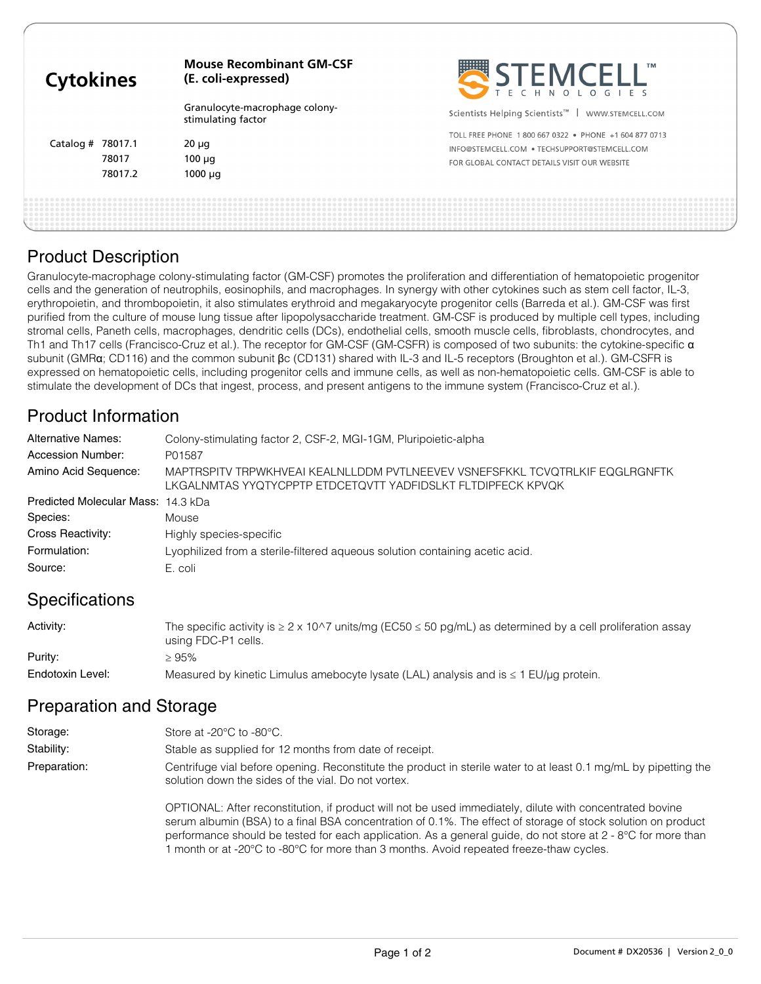| <b>Cytokines</b> |                             | <b>Mouse Recombinant GM-CSF</b><br>(E. coli-expressed) | STEMCELL'                                                                                                                                             |
|------------------|-----------------------------|--------------------------------------------------------|-------------------------------------------------------------------------------------------------------------------------------------------------------|
|                  |                             | Granulocyte-macrophage colony-<br>stimulating factor   | Scientists Helping Scientists <sup>™</sup>  <br>WWW.STEMCELL.COM                                                                                      |
| Catalog #        | 78017.1<br>78017<br>78017.2 | $20 \mu g$<br>$100 \mu q$<br>$1000 \mu q$              | TOLL FREE PHONE 1800 667 0322 . PHONE +1 604 877 0713<br>INFO@STEMCELL.COM . TECHSUPPORT@STEMCELL.COM<br>FOR GLOBAL CONTACT DETAILS VISIT OUR WEBSITE |
|                  |                             |                                                        |                                                                                                                                                       |

#### Product Description

Granulocyte-macrophage colony-stimulating factor (GM-CSF) promotes the proliferation and differentiation of hematopoietic progenitor cells and the generation of neutrophils, eosinophils, and macrophages. In synergy with other cytokines such as stem cell factor, IL-3, erythropoietin, and thrombopoietin, it also stimulates erythroid and megakaryocyte progenitor cells (Barreda et al.). GM-CSF was first purified from the culture of mouse lung tissue after lipopolysaccharide treatment. GM-CSF is produced by multiple cell types, including stromal cells, Paneth cells, macrophages, dendritic cells (DCs), endothelial cells, smooth muscle cells, fibroblasts, chondrocytes, and Th1 and Th17 cells (Francisco-Cruz et al.). The receptor for GM-CSF (GM-CSFR) is composed of two subunits: the cytokine-specific α subunit (GMRα; CD116) and the common subunit βc (CD131) shared with IL-3 and IL-5 receptors (Broughton et al.). GM-CSFR is expressed on hematopoietic cells, including progenitor cells and immune cells, as well as non-hematopoietic cells. GM-CSF is able to stimulate the development of DCs that ingest, process, and present antigens to the immune system (Francisco-Cruz et al.).

# Product Information

| Alternative Names:                 | Colony-stimulating factor 2, CSF-2, MGI-1GM, Pluripoietic-alpha                                                                              |
|------------------------------------|----------------------------------------------------------------------------------------------------------------------------------------------|
| Accession Number:                  | P01587                                                                                                                                       |
| Amino Acid Sequence:               | MAPTRSPITV TRPWKHVEAI KEALNLLDDM PVTLNEEVEV VSNEFSFKKL TCVQTRLKIF EQGLRGNFTK<br>LKGALNMTAS YYQTYCPPTP ETDCETQVTT YADFIDSLKT FLTDIPFECK KPVQK |
| Predicted Molecular Mass: 14.3 kDa |                                                                                                                                              |
| Species:                           | Mouse                                                                                                                                        |
| Cross Reactivity:                  | Highly species-specific                                                                                                                      |
| Formulation:                       | Lyophilized from a sterile-filtered aqueous solution containing acetic acid.                                                                 |
| Source:                            | E. coli                                                                                                                                      |

## **Specifications**

The specific activity is  $\ge 2 \times 10^{17}$  units/mg (EC50  $\le 50$  pg/mL) as determined by a cell proliferation assay using FDC-P1 cells. ≥ 95% Activity: Purity: Endotoxin Level: Measured by kinetic Limulus amebocyte lysate (LAL) analysis and is ≤ 1 EU/μg protein.

## Preparation and Storage

| Storage:     | Store at -20 $\degree$ C to -80 $\degree$ C.                                                                                                                            |  |
|--------------|-------------------------------------------------------------------------------------------------------------------------------------------------------------------------|--|
| Stability:   | Stable as supplied for 12 months from date of receipt.                                                                                                                  |  |
| Preparation: | Centrifuge vial before opening. Reconstitute the product in sterile water to at least 0.1 mg/mL by pipetting the<br>solution down the sides of the vial. Do not vortex. |  |

OPTIONAL: After reconstitution, if product will not be used immediately, dilute with concentrated bovine serum albumin (BSA) to a final BSA concentration of 0.1%. The effect of storage of stock solution on product performance should be tested for each application. As a general guide, do not store at 2 - 8°C for more than 1 month or at -20°C to -80°C for more than 3 months. Avoid repeated freeze-thaw cycles.